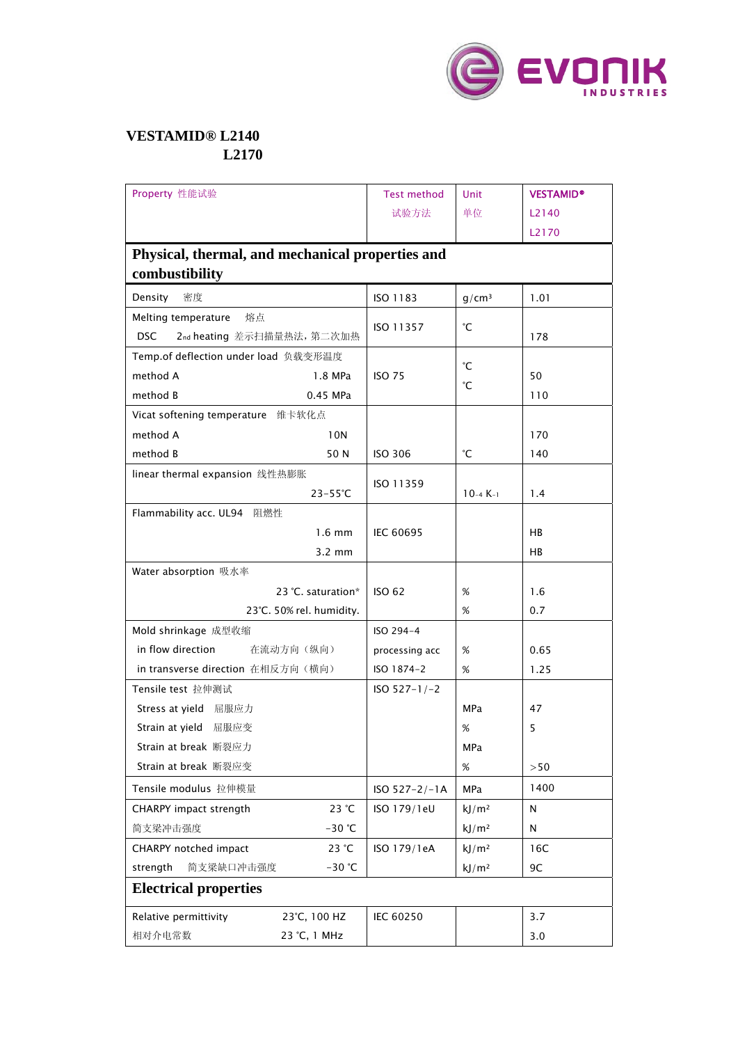

## **VESTAMID® L2140 L2170**

| Property 性能试验                                    |                  | <b>Test method</b> | Unit              | <b>VESTAMID®</b> |  |  |  |
|--------------------------------------------------|------------------|--------------------|-------------------|------------------|--|--|--|
|                                                  |                  | 试验方法               | 单位                | L2140            |  |  |  |
|                                                  |                  |                    |                   | L2170            |  |  |  |
| Physical, thermal, and mechanical properties and |                  |                    |                   |                  |  |  |  |
| combustibility                                   |                  |                    |                   |                  |  |  |  |
| 密度<br>Density                                    |                  | ISO 1183           | $g/cm^3$          | 1.01             |  |  |  |
| Melting temperature<br>熔点                        |                  | ISO 11357          | °С                |                  |  |  |  |
| <b>DSC</b><br>2nd heating 差示扫描量热法, 第二次加热         |                  |                    |                   | 178              |  |  |  |
| Temp.of deflection under load 负载变形温度             |                  | °C                 |                   |                  |  |  |  |
| method A                                         | 1.8 MPa          | <b>ISO 75</b>      | °С                | 50               |  |  |  |
| method B                                         | 0.45 MPa         |                    |                   | 110              |  |  |  |
| Vicat softening temperature 维卡软化点                |                  |                    |                   |                  |  |  |  |
| method A                                         | 10N              |                    |                   | 170              |  |  |  |
| method B                                         | 50 N             | <b>ISO 306</b>     | °С                | 140              |  |  |  |
| linear thermal expansion 线性热膨胀                   | ISO 11359        |                    |                   |                  |  |  |  |
|                                                  | $23-55^{\circ}C$ |                    | $10-4 K-1$        | 1.4              |  |  |  |
| Flammability acc. UL94<br>阻燃性                    |                  |                    |                   |                  |  |  |  |
|                                                  | $1.6$ mm         | IEC 60695          |                   | HB               |  |  |  |
|                                                  | $3.2 \text{ mm}$ |                    |                   | HB               |  |  |  |
| Water absorption 吸水率                             |                  |                    |                   |                  |  |  |  |
| 23 °C, saturation*                               |                  | <b>ISO 62</b>      | %                 | 1.6              |  |  |  |
| 23°C. 50% rel. humidity.                         |                  |                    | %                 | 0.7              |  |  |  |
| Mold shrinkage 成型收缩                              |                  | ISO 294-4          |                   |                  |  |  |  |
| in flow direction<br>在流动方向(纵向)                   |                  | processing acc     | %                 | 0.65             |  |  |  |
| in transverse direction 在相反方向(横向)                |                  | ISO 1874-2         | %                 | 1.25             |  |  |  |
| Tensile test 拉伸测试                                | $ISO 527-1/-2$   |                    |                   |                  |  |  |  |
| Stress at yield 屈服应力                             |                  |                    | <b>MPa</b>        | 47               |  |  |  |
| Strain at yield 屈服应变                             |                  |                    | %                 | 5                |  |  |  |
| Strain at break 断裂应力                             |                  |                    | MPa               |                  |  |  |  |
| Strain at break 断裂应变                             |                  |                    | %                 | >50              |  |  |  |
| Tensile modulus 拉伸模量                             |                  | $ISO 527 - 2/-1A$  | <b>MPa</b>        | 1400             |  |  |  |
| CHARPY impact strength                           | 23 °C            | ISO 179/1eU        | kJ/m <sup>2</sup> | N                |  |  |  |
| 简支梁冲击强度                                          | $-30 °C$         |                    | kJ/m <sup>2</sup> | N                |  |  |  |
| CHARPY notched impact                            | 23 °C            | ISO 179/1eA        | kJ/m <sup>2</sup> | 16C              |  |  |  |
| strength<br>简支梁缺口冲击强度                            | $-30$ °C         |                    | kJ/m <sup>2</sup> | 9C               |  |  |  |
| <b>Electrical properties</b>                     |                  |                    |                   |                  |  |  |  |
| Relative permittivity                            | 23°C, 100 HZ     | IEC 60250          |                   | 3.7              |  |  |  |
| 相对介电常数                                           | 23 °C, 1 MHz     |                    |                   | 3.0              |  |  |  |